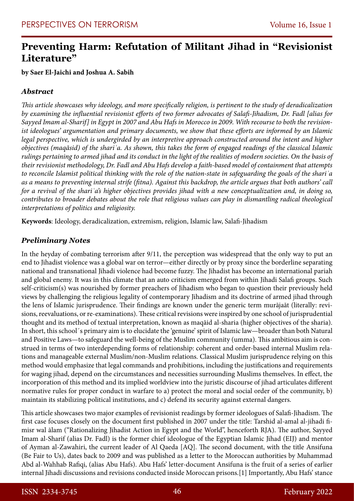# **Preventing Harm: Refutation of Militant Jihad in "Revisionist Literature"**

**by Saer El-Jaichi and Joshua A. Sabih**

## *Abstract*

*This article showcases why ideology, and more specifically religion, is pertinent to the study of deradicalization by examining the influential revisionist efforts of two former advocates of Salafi-Jihadism, Dr. Fadl [alias for Sayyed Imam al-Sharif] in Egypt in 2007 and Abu Hafs in Morocco in 2009. With recourse to both the revisionist ideologues' argumentation and primary documents, we show that these efforts are informed by an Islamic legal perspective, which is undergirded by an interpretive approach constructed around the intent and higher objectives (maqāsid) of the shariʿa. As shown, this takes the form of engaged readings of the classical Islamic rulings pertaining to armed jihad and its conduct in the light of the realities of modern societies. On the basis of their revisionist methodology, Dr. Fadl and Abu Hafs develop a faith-based model of containment that attempts to reconcile Islamist political thinking with the role of the nation-state in safeguarding the goals of the shariʿa as a means to preventing internal strife (fitna). Against this backdrop, the article argues that both authors' call for a revival of the shariʿa's higher objectives provides jihad with a new conceptualization and, in doing so, contributes to broader debates about the role that religious values can play in dismantling radical theological interpretations of politics and religiosity.*

**Keywords**: Ideology, deradicalization, extremism, religion, Islamic law, Salafi-Jihadism

## *Preliminary Notes*

In the heyday of combating terrorism after 9/11, the perception was widespread that the only way to put an end to Jihadist violence was a global war on terror—either directly or by proxy since the borderline separating national and transnational Jihadi violence had become fuzzy. The Jihadist has become an international pariah and global enemy. It was in this climate that an auto criticism emerged from within Jihadi Salafi groups. Such self-criticism(s) was nourished by former preachers of Jihadism who began to question their previously held views by challenging the religious legality of contemporary Jihadism and its doctrine of armed jihad through the lens of Islamic jurisprudence. Their findings are known under the generic term murājaāt (literally: revisions, reevaluations, or re-examinations). These critical revisions were inspired by one school of jurisprudential thought and its method of textual interpretation, known as maqāid al-sharia (higher objectives of the sharia). In short, this school´s primary aim is to elucidate the 'genuine' spirit of Islamic law—broader than both Natural and Positive Laws—to safeguard the well-being of the Muslim community (umma). This ambitious aim is construed in terms of two interdepending forms of relationship: coherent and order-based internal Muslim relations and manageable external Muslim/non-Muslim relations. Classical Muslim jurisprudence relying on this method would emphasize that legal commands and prohibitions, including the justifications and requirements for waging jihad, depend on the circumstances and necessities surrounding Muslims themselves. In effect, the incorporation of this method and its implied worldview into the juristic discourse of jihad articulates different normative rules for proper conduct in warfare to a) protect the moral and social order of the community, b) maintain its stabilizing political institutions, and c) defend its security against external dangers.

This article showcases two major examples of revisionist readings by former ideologues of Salafi-Jihadism. The first case focuses closely on the document first published in 2007 under the title: Tarshid al-amal al-jihadi fimisr wal ālam ("Rationalizing Jihadist Action in Egypt and the World", henceforth RJA). The author, Sayyed Imam al-Sharif (alias Dr. Fadl) is the former chief ideologue of the Egyptian Islamic Jihad (EIJ) and mentor of Ayman al-Zawahiri, the current leader of Al Qaeda [AQ]. The second document, with the title Ansifuna (Be Fair to Us), dates back to 2009 and was published as a letter to the Moroccan authorities by Muhammad Abd al-Wahhab Rafiqi, (alias Abu Hafs). Abu Hafs' letter-document Ansifuna is the fruit of a series of earlier internal Jihadi discussions and revisions conducted inside Moroccan prisons.[1] Importantly, Abu Hafs' stance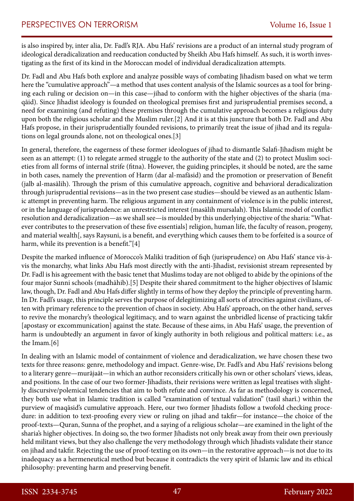is also inspired by, inter alia, Dr. Fadl's RJA. Abu Hafs' revisions are a product of an internal study program of ideological deradicalization and reeducation conducted by Sheikh Abu Hafs himself. As such, it is worth investigating as the first of its kind in the Moroccan model of individual deradicalization attempts.

Dr. Fadl and Abu Hafs both explore and analyze possible ways of combating Jihadism based on what we term here the "cumulative approach"—a method that uses content analysis of the Islamic sources as a tool for bringing each ruling or decision on—in this case—jihad to conform with the higher objectives of the sharia (maqāid). Since Jihadist ideology is founded on theological premises first and jurisprudential premises second, a need for examining (and refuting) these premises through the cumulative approach becomes a religious duty upon both the religious scholar and the Muslim ruler.[2] And it is at this juncture that both Dr. Fadl and Abu Hafs propose, in their jurisprudentially founded revisions, to primarily treat the issue of jihad and its regulations on legal grounds alone, not on theological ones.[3]

In general, therefore, the eagerness of these former ideologues of jihad to dismantle Salafi-Jihadism might be seen as an attempt: (1) to relegate armed struggle to the authority of the state and (2) to protect Muslim societies from all forms of internal strife (fitna). However, the guiding principles, it should be noted, are the same in both cases, namely the prevention of Harm (dar al-mafāsid) and the promotion or preservation of Benefit (jalb al-masālih). Through the prism of this cumulative approach, cognitive and behavioral deradicalization through jurisprudential revisions—as in the two present case studies—should be viewed as an authentic Islamic attempt in preventing harm. The religious argument in any containment of violence is in the public interest, or in the language of jurisprudence: an unrestricted interest (masālih mursalah). This Islamic model of conflict resolution and deradicalization—as we shall see—is moulded by this underlying objective of the sharia: "Whatever contributes to the preservation of these five essentials] religion, human life, the faculty of reason, progeny, and material wealth[, says Raysuni, is a benefit, and everything which causes them to be forfeited is a source of harm, while its prevention is a benefit."[4]

Despite the marked influence of Morocco's Maliki tradition of fiqh (jurisprudence) on Abu Hafs' stance vis-àvis the monarchy, what links Abu Hafs most directly with the anti-Jihadist, revisionist stream represented by Dr. Fadl is his agreement with the basic tenet that Muslims today are not obliged to abide by the opinions of the four major Sunni schools (madhāhib).[5] Despite their shared commitment to the higher objectives of Islamic law, though, Dr. Fadl and Abu Hafs differ slightly in terms of how they deploy the principle of preventing harm. In Dr. Fadl's usage, this principle serves the purpose of delegitimizing all sorts of atrocities against civilians, often with primary reference to the prevention of chaos in society. Abu Hafs' approach, on the other hand, serves to revive the monarchy's theological legitimacy, and to warn against the unbridled license of practicing takfir [apostasy or excommunication] against the state. Because of these aims, in Abu Hafs' usage, the prevention of harm is undoubtedly an argument in favor of kingly authority in both religious and political matters: i.e., as the Imam.[6]

In dealing with an Islamic model of containment of violence and deradicalization, we have chosen these two texts for three reasons: genre, methodology and impact. Genre-wise, Dr. Fadl's and Abu Hafs' revisions belong to a literary genre—murājaāt—in which an author reconsiders critically his own or other scholars' views, ideas, and positions. In the case of our two former-Jihadists, their revisions were written as legal treatises with slightly discursive/polemical tendencies that aim to both refute and convince. As far as methodology is concerned, they both use what in Islamic tradition is called "examination of textual validation" (tasīl sharī.) within the purview of maqāsid's cumulative approach. Here, our two former Jihadists follow a twofold checking procedure: in addition to text-proofing every view or ruling on jihad and takfir—for instance—the choice of the proof-texts—Quran, Sunna of the prophet, and a saying of a religious scholar—are examined in the light of the sharia's higher objectives. In doing so, the two former Jihadists not only break away from their own previously held militant views, but they also challenge the very methodology through which Jihadists validate their stance on jihad and takfir. Rejecting the use of proof-texting on its own—in the restorative approach—is not due to its inadequacy as a hermeneutical method but because it contradicts the very spirit of Islamic law and its ethical philosophy: preventing harm and preserving benefit.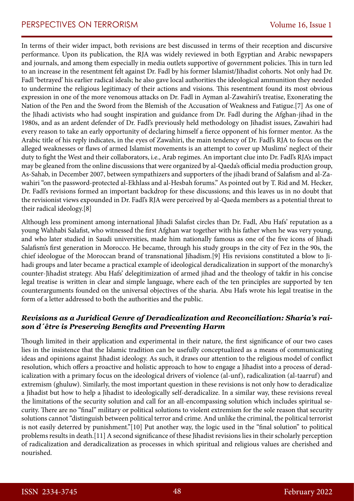In terms of their wider impact, both revisions are best discussed in terms of their reception and discursive performance. Upon its publication, the RJA was widely reviewed in both Egyptian and Arabic newspapers and journals, and among them especially in media outlets supportive of government policies. This in turn led to an increase in the resentment felt against Dr. Fadl by his former Islamist/Jihadist cohorts. Not only had Dr. Fadl 'betrayed' his earlier radical ideals; he also gave local authorities the ideological ammunition they needed to undermine the religious legitimacy of their actions and visions. This resentment found its most obvious expression in one of the more venomous attacks on Dr. Fadl in Ayman al-Zawahiri's treatise, Exonerating the Nation of the Pen and the Sword from the Blemish of the Accusation of Weakness and Fatigue.[7] As one of the Jihadi activists who had sought inspiration and guidance from Dr. Fadl during the Afghan-jihad in the 1980s, and as an ardent defender of Dr. Fadl's previously held methodology on Jihadist issues, Zawahiri had every reason to take an early opportunity of declaring himself a fierce opponent of his former mentor. As the Arabic title of his reply indicates, in the eyes of Zawahiri, the main tendency of Dr. Fadl's RJA to focus on the alleged weaknesses or flaws of armed Islamist movements is an attempt to cover up Muslims' neglect of their duty to fight the West and their collaborators, i.e., Arab regimes. An important clue into Dr. Fadl's RJA's impact may be gleaned from the online discussions that were organized by al-Qaeda's official media production group, As-Sahab, in December 2007, between sympathizers and supporters of the jihadi brand of Salafism and al-Zawahiri "on the password-protected al-Ekhlass and al-Hesbah forums." As pointed out by T. Rid and M. Hecker, Dr. Fadl's revisions formed an important backdrop for these discussions; and this leaves us in no doubt that the revisionist views expounded in Dr. Fadl's RJA were perceived by al-Qaeda members as a potential threat to their radical ideology.[8]

Although less prominent among international Jihadi Salafist circles than Dr. Fadl, Abu Hafs' reputation as a young Wahhabi Salafist, who witnessed the first Afghan war together with his father when he was very young, and who later studied in Saudi universities, made him nationally famous as one of the five icons of Jihadi Salafism's first generation in Morocco. He became, through his study groups in the city of Fez in the 90s, the chief ideologue of the Moroccan brand of transnational Jihadism.[9] His revisions constituted a blow to Jihadi groups and later became a practical example of ideological deradicalization in support of the monarchy's counter-Jihadist strategy. Abu Hafs' delegitimization of armed jihad and the theology of takfir in his concise legal treatise is written in clear and simple language, where each of the ten principles are supported by ten counterarguments founded on the universal objectives of the sharia. Abu Hafs wrote his legal treatise in the form of a letter addressed to both the authorities and the public.

#### *Revisions as a Juridical Genre of Deradicalization and Reconciliation: Sharia's raison d´être is Preserving Benefits and Preventing Harm*

Though limited in their application and experimental in their nature, the first significance of our two cases lies in the insistence that the Islamic tradition can be usefully conceptualized as a means of communicating ideas and opinions against Jihadist ideology. As such, it draws our attention to the religious model of conflict resolution, which offers a proactive and holistic approach to how to engage a Jihadist into a process of deradicalization with a primary focus on the ideological drivers of violence (al-unf), radicalization (al-taarruf) and extremism (ghuluw). Similarly, the most important question in these revisions is not only how to deradicalize a Jihadist but how to help a Jihadist to ideologically self-deradicalize. In a similar way, these revisions reveal the limitations of the security solution and call for an all-encompassing solution which includes spiritual security. There are no "final" military or political solutions to violent extremism for the sole reason that security solutions cannot "distinguish between political terror and crime. And unlike the criminal, the political terrorist is not easily deterred by punishment."[10] Put another way, the logic used in the "final solution" to political problems results in death.[11] A second significance of these Jihadist revisions lies in their scholarly perception of radicalization and deradicalization as processes in which spiritual and religious values are cherished and nourished.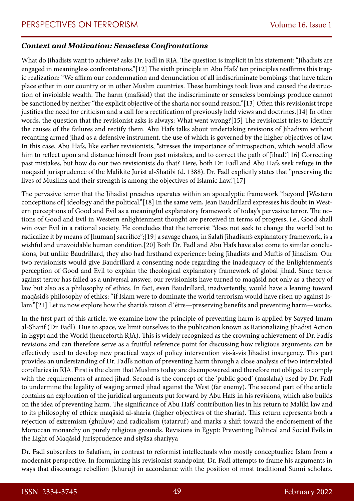#### *Context and Motivation: Senseless Confrontations*

What do Jihadists want to achieve? asks Dr. Fadl in RJA. The question is implicit in his statement: "Jihadists are engaged in meaningless confrontations."[12] The sixth principle in Abu Hafs' ten principles reaffirms this tragic realization: "We affirm our condemnation and denunciation of all indiscriminate bombings that have taken place either in our country or in other Muslim countries. These bombings took lives and caused the destruction of inviolable wealth. The harm (mafāsid) that the indiscriminate or senseless bombings produce cannot be sanctioned by neither "the explicit objective of the sharia nor sound reason."[13] Often this revisionist trope justifies the need for criticism and a call for a rectification of previously held views and doctrines.[14] In other words, the question that the revisionist asks is always: What went wrong?[15] The revisionist tries to identify the causes of the failures and rectify them. Abu Hafs talks about undertaking revisions of Jihadism without recanting armed jihad as a defensive instrument, the use of which is governed by the higher objectives of law. In this case, Abu Hafs, like earlier revisionists, "stresses the importance of introspection, which would allow him to reflect upon and distance himself from past mistakes, and to correct the path of Jihad."[16] Correcting past mistakes, but how do our two revisionists do that? Here, both Dr. Fadl and Abu Hafs seek refuge in the maqāsid jurisprudence of the Malikite Jurist al-Shatibi (d. 1388). Dr. Fadl explicitly states that "preserving the lives of Muslims and their strength is among the objectives of Islamic Law."[17]

The pervasive terror that the Jihadist preaches operates within an apocalyptic framework "beyond [Western conceptions of] ideology and the political."[18] In the same vein, Jean Baudrillard expresses his doubt in Western perceptions of Good and Evil as a meaningful explanatory framework of today's pervasive terror. The notions of Good and Evil in Western enlightenment thought are perceived in terms of progress, i.e., Good shall win over Evil in a rational society. He concludes that the terrorist "does not seek to change the world but to radicalize it by means of [human] sacrifice";[19] a savage chaos, in Salafi Jihadism's explanatory framework, is a wishful and unavoidable human condition.[20] Both Dr. Fadl and Abu Hafs have also come to similar conclusions, but unlike Baudrillard, they also had firsthand experience: being Jihadists and Muftis of Jihadism. Our two revisionists would give Baudrillard a consenting node regarding the inadequacy of the Enlightenment's perception of Good and Evil to explain the theological explanatory framework of global jihad. Since terror against terror has failed as a universal answer, our revisionists have turned to maqāsid not only as a theory of law but also as a philosophy of ethics. In fact, even Baudrillard, inadvertently, would have a leaning toward maqāsid's philosophy of ethics: "if Islam were to dominate the world terrorism would have risen up against Islam."[21] Let us now explore how the sharia's raison d'être—preserving benefits and preventing harm—works.

In the first part of this article, we examine how the principle of preventing harm is applied by Sayyed Imam al-Sharif (Dr. Fadl). Due to space, we limit ourselves to the publication known as Rationalizing Jihadist Action in Egypt and the World (henceforth RJA). This is widely recognized as the crowning achievement of Dr. Fadl's revisions and can therefore serve as a fruitful reference point for discussing how religious arguments can be effectively used to develop new practical ways of policy intervention vis-à-vis Jihadist insurgency. This part provides an understanding of Dr. Fadl's notion of preventing harm through a close analysis of two interrelated corollaries in RJA. First is the claim that Muslims today are disempowered and therefore not obliged to comply with the requirements of armed jihad. Second is the concept of the 'public good' (maslaha) used by Dr. Fadl to undermine the legality of waging armed jihad against the West (far enemy). The second part of the article contains an exploration of the juridical arguments put forward by Abu Hafs in his revisions, which also builds on the idea of preventing harm. The significance of Abu Hafs' contribution lies in his return to Maliki law and to its philosophy of ethics: maqāsid al-sharia (higher objectives of the sharia). This return represents both a rejection of extremism (ghuluw) and radicalism (tatarruf) and marks a shift toward the endorsement of the Moroccan monarchy on purely religious grounds. Revisions in Egypt: Preventing Political and Social Evils in the Light of Maqāsid Jurisprudence and siyāsa shariyya

Dr. Fadl subscribes to Salafism, in contrast to reformist intellectuals who mostly conceptualize Islam from a modernist perspective. In formulating his revisionist standpoint, Dr. Fadl attempts to frame his arguments in ways that discourage rebellion (khurūj) in accordance with the position of most traditional Sunni scholars.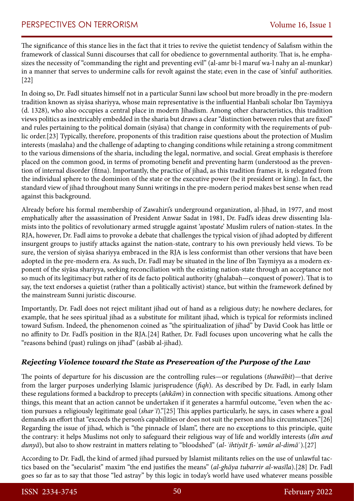The significance of this stance lies in the fact that it tries to revive the quietist tendency of Salafism within the framework of classical Sunni discourses that call for obedience to governmental authority. That is, he emphasizes the necessity of "commanding the right and preventing evil" (al-amr bi-l maruf wa-l nahy an al-munkar) in a manner that serves to undermine calls for revolt against the state; even in the case of 'sinful' authorities. [22]

In doing so, Dr. Fadl situates himself not in a particular Sunni law school but more broadly in the pre-modern tradition known as siyāsa shariyya, whose main representative is the influential Hanbali scholar Ibn Taymiyya (d. 1328), who also occupies a central place in modern Jihadism. Among other characteristics, this tradition views politics as inextricably embedded in the sharia but draws a clear "distinction between rules that are fixed" and rules pertaining to the political domain (siyāsa) that change in conformity with the requirements of public order.[23] Typically, therefore, proponents of this tradition raise questions about the protection of Muslim interests (maslaha) and the challenge of adapting to changing conditions while retaining a strong commitment to the various dimensions of the sharia, including the legal, normative, and social. Great emphasis is therefore placed on the common good, in terms of promoting benefit and preventing harm (understood as the prevention of internal disorder (fitna). Importantly, the practice of jihad, as this tradition frames it, is relegated from the individual sphere to the dominion of the state or the executive power (be it president or king). In fact, the standard view of jihad throughout many Sunni writings in the pre-modern period makes best sense when read against this background.

Already before his formal membership of Zawahiri's underground organization, al-Jihad, in 1977, and most emphatically after the assassination of President Anwar Sadat in 1981, Dr. Fadl's ideas drew dissenting Islamists into the politics of revolutionary armed struggle against 'apostate' Muslim rulers of nation-states. In the RJA, however, Dr. Fadl aims to provoke a debate that challenges the typical vision of jihad adopted by different insurgent groups to justify attacks against the nation-state, contrary to his own previously held views. To be sure, the version of siyāsa shariyya embraced in the RJA is less conformist than other versions that have been adopted in the pre-modern era. As such, Dr. Fadl may be situated in the line of Ibn Taymiyya as a modern exponent of the siyāsa shariyya, seeking reconciliation with the existing nation-state through an acceptance not so much of its legitimacy but rather of its de facto political authority (ghalabah—conquest of power). That is to say, the text endorses a quietist (rather than a politically activist) stance, but within the framework defined by the mainstream Sunni juristic discourse.

Importantly, Dr. Fadl does not reject militant jihad out of hand as a religious duty; he nowhere declares, for example, that he sees spiritual jihad as a substitute for militant jihad, which is typical for reformists inclined toward Sufism. Indeed, the phenomenon coined as "the spiritualization of jihad" by David Cook has little or no affinity to Dr. Fadl's position in the RJA.[24] Rather, Dr. Fadl focuses upon uncovering what he calls the "reasons behind (past) rulings on jihad" (asbāb al-jihad).

## *Rejecting Violence toward the State as Preservation of the Purpose of the Law*

The points of departure for his discussion are the controlling rules—or regulations (*thawābit*)—that derive from the larger purposes underlying Islamic jurisprudence (*fiqh*). As described by Dr. Fadl, in early Islam these regulations formed a backdrop to precepts (*ahkām*) in connection with specific situations. Among other things, this meant that an action cannot be undertaken if it generates a harmful outcome, "even when the action pursues a religiously legitimate goal (*sharʿī*)."[25] This applies particularly, he says, in cases where a goal demands an effort that "exceeds the person's capabilities or does not suit the person and his circumstances."[26] Regarding the issue of jihad, which is "the pinnacle of Islam", there are no exceptions to this principle, quite the contrary: it helps Muslims not only to safeguard their religious way of life and worldly interests (*dīn and dunyā*), but also to show restraint in matters relating to "bloodshed" (*al-ʾihtiyāt fi-ʾumūr al-dimā*ʾ).[27]

According to Dr. Fadl, the kind of armed jihad pursued by Islamist militants relies on the use of unlawful tactics based on the "secularist" maxim "the end justifies the means" (*al-ghāya tubarrir al-wasīla*).[28] Dr. Fadl goes so far as to say that those "led astray" by this logic in today's world have used whatever means possible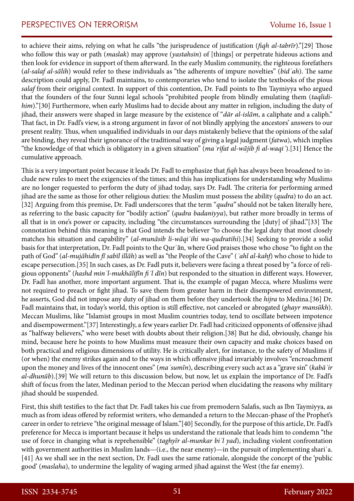# PERSPECTIVES ON TERRORISM Volume 16, Issue 1

to achieve their aims, relying on what he calls "the jurisprudence of justification (*fiqh al-tabrīr*)."[29] Those who follow this way or path (*maslak*) may approve (*yastahsin*) of [things] or perpetrate hideous actions and then look for evidence in support of them afterward. In the early Muslim community, the righteous forefathers (*al-salaf al-sālih*) would refer to these individuals as "the adherents of impure novelties" (*bidʿah*). The same description could apply, Dr. Fadl maintains, to contemporaries who tend to isolate the textbooks of the pious *salaf* from their original context. In support of this contention, Dr. Fadl points to Ibn Taymiyya who argued that the founders of the four Sunni legal schools "prohibited people from blindly emulating them (*taqlidihim*)."[30] Furthermore, when early Muslims had to decide about any matter in religion, including the duty of jihad, their answers were shaped in large measure by the existence of "*dār al-islām*, a caliphate and a caliph." That fact, in Dr. Fadl's view, is a strong argument in favor of not blindly applying the ancestors' answers to our present reality. Thus, when unqualified individuals in our days mistakenly believe that the opinions of the salaf are binding, they reveal their ignorance of the traditional way of giving a legal judgment (*fatwa*), which implies "the knowledge of that which is obligatory in a given situation" (*maʿrifat al-wājib fi al-waqiʿ*).[31] Hence the cumulative approach.

This is a very important point because it leads Dr. Fadl to emphasize that *fiqh* has always been broadened to include new rules to meet the exigencies of the times; and this has implications for understanding why Muslims are no longer requested to perform the duty of jihad today, says Dr. Fadl. The criteria for performing armed jihad are the same as those for other religious duties: the Muslim must possess the ability (*qudra*) to do an act. [32] Arguing from this premise, Dr. Fadl underscores that the term "*qudra"* should not be taken literally here, as referring to the basic capacity for "bodily action" (*qudra badaniyya*), but rather more broadly in terms of all that is in one's power or capacity, including "the circumstances surrounding the [duty] of jihad."[33] The connotation behind this meaning is that God intends the believer "to choose the legal duty that most closely matches his situation and capability" (*al-munāsib li-wāqiʿihi wa-qudratihi*).[34] Seeking to provide a solid basis for that interpretation, Dr. Fadl points to the Qurʿān, where God praises those who chose "to fight on the path of God" (*al-mujāhidīn fī sabīl illāh*) as well as "the People of the Cave" (*ʾahl al-kahf*) who chose to hide to escape persecution.[35] In such cases, as Dr. Fadl puts it, believers were facing a threat posed by "a force of religious opponents" (*hashd minʾl-mukhālifīn fiʾl dīn*) but responded to the situation in different ways. However, Dr. Fadl has another, more important argument. That is, the example of pagan Mecca, where Muslims were not required to preach or fight jihad. To save them from greater harm in their disempowered environment, he asserts, God did not impose any duty of jihad on them before they undertook the *hijra* to Medina.[36] Dr. Fadl maintains that, in today's world, this option is still effective, not canceled or abrogated (*ghayr mansūkh*). Meccan Muslims, like "Islamist groups in most Muslim countries today, tend to oscillate between impotence and disempowerment."[37] Interestingly, a few years earlier Dr. Fadl had criticized opponents of offensive jihad as "halfway believers," who were beset with doubts about their religion.[38] But he did, obviously, change his mind, because here he points to how Muslims must measure their own capacity and make choices based on both practical and religious dimensions of utility. He is critically alert, for instance, to the safety of Muslims if (or when) the enemy strikes again and to the ways in which offensive jihad invariably involves "encroachment upon the money and lives of the innocent ones" (*maʿsumīn*), describing every such act as a "grave sin" (*kabāʾir al-dhunūb*).[39] We will return to this discussion below, but now, let us explain the importance of Dr. Fadl's shift of focus from the later, Medinan period to the Meccan period when elucidating the reasons why military jihad should be suspended.

First, this shift testifies to the fact that Dr. Fadl takes his cue from premodern Salafis, such as Ibn Taymiyya, as much as from ideas offered by reformist writers, who demanded a return to the Meccan-phase of the Prophet's career in order to retrieve "the original message of Islam."[40] Secondly, for the purpose of this article, Dr. Fadl's preference for Mecca is important because it helps us understand the rationale that leads him to condemn "the use of force in changing what is reprehensible" (*taghyīr al-munkar biʾl yad*), including violent confrontation with government authorities in Muslim lands—(i.e., the near enemy)—in the pursuit of implementing shari'a. [41] As we shall see in the next section, Dr. Fadl uses the same rationale, alongside the concept of the 'public good' (*maslaha*), to undermine the legality of waging armed jihad against the West (the far enemy).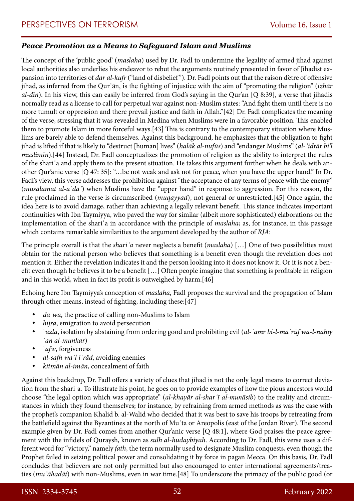## *Peace Promotion as a Means to Safeguard Islam and Muslims*

The concept of the 'public good' (*maslaha*) used by Dr. Fadl to undermine the legality of armed jihad against local authorities also underlies his endeavor to rebut the arguments routinely presented in favor of Jihadist expansion into territories of *dar al-kufr* ("land of disbelief"). Dr. Fadl points out that the raison d'etre of offensive jihad, as inferred from the Qurʿān, is the fighting of injustice with the aim of "promoting the religion" (*izhār al-dīn*). In his view, this can easily be inferred from God's saying in the Qur'an [Q 8:39], a verse that jihadis normally read as a license to call for perpetual war against non-Muslim states: "And fight them until there is no more tumult or oppression and there prevail justice and faith in Allah."[42] Dr. Fadl complicates the meaning of the verse, stressing that it was revealed in Medina when Muslims were in a favorable position. This enabled them to promote Islam in more forceful ways.[43] This is contrary to the contemporary situation where Muslims are barely able to defend themselves. Against this background, he emphasizes that the obligation to fight jihad is lifted if that is likely to "destruct [human] lives" (*halāk al-nufūs*) and "endanger Muslims" (*al-ʾidrār bi'l muslimīn*).[44] Instead, Dr. Fadl conceptualizes the promotion of religion as the ability to interpret the rules of the shariʿa and apply them to the present situation. He takes this argument further when he deals with another Qur'anic verse [Q 47: 35]: "…be not weak and ask not for peace, when you have the upper hand." In Dr. Fadl's view, this verse addresses the prohibition against "the acceptance of any terms of peace with the enemy" (*musālamat al-aʿdāʾ*) when Muslims have the "upper hand" in response to aggression. For this reason, the rule proclaimed in the verse is circumscribed (*muqayyad*), not general or unrestricted.[45] Once again, the idea here is to avoid damage, rather than achieving a legally relevant benefit. This stance indicates important continuities with Ibn Taymiyya, who paved the way for similar (albeit more sophisticated) elaborations on the implementation of the shariʿa in accordance with the principle of *maslaha*; as, for instance, in this passage which contains remarkable similarities to the argument developed by the author of *RJA*:

The principle overall is that the *shariʿa* never neglects a benefit (*maslaha*) […] One of two possibilities must obtain for the rational person who believes that something is a benefit even though the revelation does not mention it. Either the revelation indicates it and the person looking into it does not know it. Or it is not a benefit even though he believes it to be a benefit […] Often people imagine that something is profitable in religion and in this world, when in fact its profit is outweighed by harm.[46]

Echoing here Ibn Taymiyya's conception of *maslaha*, Fadl proposes the survival and the propagation of Islam through other means, instead of fighting, including these:[47]

- da 'wa, the practice of calling non-Muslims to Islam
- *hijra*, emigration to avoid persecution
- • ʿ*uzla*, isolation by abstaining from ordering good and prohibiting evil (*al-ʾamr bi-l-maʿrūf wa-l-nahıy ʿan al-munkar*)
- *dfw*, forgiveness
- • *al-safh waʾl iʿrād*, avoiding enemies
- • *kitmān al-imān*, concealment of faith

Against this backdrop, Dr. Fadl offers a variety of clues that jihad is not the only legal means to correct deviation from the shariʿa. To illustrate his point, he goes on to provide examples of how the pious ancestors would choose "the legal option which was appropriate" (*al-khayār al-sharʿī al-munāsib*) to the reality and circumstances in which they found themselves; for instance, by refraining from armed methods as was the case with the prophet's companion Khalid b. al-Walid who decided that it was best to save his troops by retreating from the battlefield against the Byzantines at the north of Muʾta or Areopolis (east of the Jordan River). The second example given by Dr. Fadl comes from another Qur'anic verse [Q 48:1], where God praises the peace agreement with the infidels of Quraysh, known as *sulh al*-*hudaybiyah*. According to Dr. Fadl, this verse uses a different word for "victory," namely *fath*, the term normally used to designate Muslim conquests, even though the Prophet failed in seizing political power and consolidating it by force in pagan Mecca. On this basis, Dr. Fadl concludes that believers are not only permitted but also encouraged to enter international agreements/treaties (*muʿāhadāt*) with non-Muslims, even in war time.[48] To underscore the primacy of the public good (or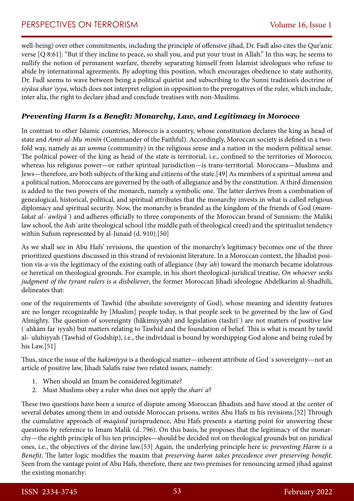well-being) over other commitments, including the principle of offensive jihad, Dr. Fadl also cites the Qur'anic verse [Q 8:61]: "But if they incline to peace, so shall you, and put your trust in Allah." In this way, he seems to nullify the notion of permanent warfare, thereby separating himself from Islamist ideologues who refuse to abide by international agreements. By adopting this position, which encourages obedience to state authority, Dr. Fadl seems to wave between being a political quietist and subscribing to the Sunni tradition's doctrine of *siyāsa sharʿiyya*, which does not interpret religion in opposition to the prerogatives of the ruler, which include, inter alia, the right to declare jihad and conclude treatises with non-Muslims.

# *Preventing Harm Is a Benefit: Monarchy, Law, and Legitimacy in Morocco*

In contrast to other Islamic countries, Morocco is a country, whose constitution declares the king as head of state and *Amir al-Muʾminīn* (Commander of the Faithful). Accordingly, Moroccan society is defined in a twofold way, namely as an *umma* (community) in the religious sense and a nation in the modern political sense. The political power of the king as head of the state is territorial, i.e., confined to the territories of Morocco, whereas his religious power—or rather spiritual jurisdiction—is trans-territorial. Moroccans—Muslims and Jews—therefore, are both subjects of the king and citizens of the state.[49] As members of a spiritual *umma* and a political nation, Moroccans are governed by the oath of allegiance and by the constitution. A third dimension is added to the two powers of the monarch, namely a symbolic one. The latter derives from a combination of genealogical, historical, political, and spiritual attributes that the monarchy invests in what is called religious diplomacy and spiritual security. Now, the monarchy is branded as the kingdom of the friends of God (*mamlakat al-ʾawliyāʾ*) and adheres officially to three components of the Moroccan brand of Sunnism: the Maliki law school, the Ashʿarite theological school (the middle path of theological creed) and the spiritualist tendency within Sufism represented by al-Junaid (d. 910).[50]

As we shall see in Abu Hafs' revisions, the question of the monarchy's legitimacy becomes one of the three prioritized questions discussed in this strand of revisionist literature. In a Moroccan context, the Jihadist position vis-a-vis the legitimacy of the existing oath of allegiance (*bayʿah*) toward the monarch became idolatrous or heretical on theological grounds. For example, in his short theological-juridical treatise, *On whoever seeks judgment of the tyrant rulers is a disbeliever*, the former Moroccan Jihadi ideologue Abdelkarim al-Shadhili, delineates that:

one of the requirements of Tawhid (the absolute sovereignty of God), whose meaning and identity features are no longer recognizable by [Muslim] people today, is that people seek to be governed by the law of God Almighty. The question of sovereignty (hākimiyyah) and legislation (tashrīʿ) are not matters of positive law (ʾahkām farʿiyyah) but matters relating to Tawhid and the foundation of belief. This is what is meant by tawīd al-ʾuluhiyyah (Tawhid of Godship), i.e., the individual is bound by worshipping God alone and being ruled by his Law.[51]

Thus, since the issue of the *hakimiyya* is a theological matter—inherent attribute of God´s sovereignty—not an article of positive law, Jihadi Salafis raise two related issues, namely:

- 1. When should an Imam be considered legitimate?
- 2. Must Muslims obey a ruler who does not apply the *shariʿa*?

These two questions have been a source of dispute among Moroccan Jihadists and have stood at the center of several debates among them in and outside Moroccan prisons, writes Abu Hafs in his revisions.[52] Through the cumulative approach of *maqāsid* jurisprudence, Abu Hafs presents a starting point for answering these questions by reference to Imam Malik (d. 796). On this basis, he proposes that the legitimacy of the monarchy—the eighth principle of his ten principles—should be decided not on theological grounds but on juridical ones, i.e., the objectives of the divine law.[53] Again, the underlying principle here is: *preventing Harm is a Benefit*. The latter logic modifies the maxim that *preserving harm takes precedence over preserving benefit*. Seen from the vantage point of Abu Hafs, therefore, there are two premises for renouncing armed jihad against the existing monarchy: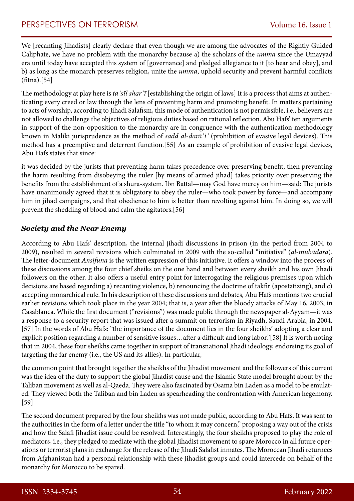We [recanting Jihadists] clearly declare that even though we are among the advocates of the Rightly Guided Caliphate, we have no problem with the monarchy because a) the scholars of the *umma* since the Umayyad era until today have accepted this system of [governance] and pledged allegiance to it [to hear and obey], and b) as long as the monarch preserves religion, unite the *umma*, uphold security and prevent harmful conflicts  $(fitna).[54]$ 

The methodology at play here is *taʾsīl sharʿī* [establishing the origin of laws] It is a process that aims at authenticating every creed or law through the lens of preventing harm and promoting benefit. In matters pertaining to acts of worship, according to Jihadi Salafism, this mode of authentication is not permissible, i.e., believers are not allowed to challenge the objectives of religious duties based on rational reflection. Abu Hafs' ten arguments in support of the non-opposition to the monarchy are in congruence with the authentication methodology known in Maliki jurisprudence as the method of *sadd al-darāʾiʿ* (prohibition of evasive legal devices). This method has a preemptive and deterrent function.[55] As an example of prohibition of evasive legal devices, Abu Hafs states that since:

it was decided by the jurists that preventing harm takes precedence over preserving benefit, then preventing the harm resulting from disobeying the ruler [by means of armed jihad] takes priority over preserving the benefits from the establishment of a shura-system. Ibn Battal—may God have mercy on him—said: The jurists have unanimously agreed that it is obligatory to obey the ruler—who took power by force—and accompany him in jihad campaigns, and that obedience to him is better than revolting against him. In doing so, we will prevent the shedding of blood and calm the agitators.[56]

#### *Society and the Near Enemy*

According to Abu Hafs' description, the internal jihadi discussions in prison (in the period from 2004 to 2009), resulted in several revisions which culminated in 2009 with the so-called "initiative" (*al-mubādara*). The letter-document *Ansifuna* is the written expression of this initiative. It offers a window into the process of these discussions among the four chief sheiks on the one hand and between every sheikh and his own Jihadi followers on the other. It also offers a useful entry point for interrogating the religious premises upon which decisions are based regarding a) recanting violence, b) renouncing the doctrine of takfir (apostatizing), and c) accepting monarchical rule. In his description of these discussions and debates, Abu Hafs mentions two crucial earlier revisions which took place in the year 2004; that is, a year after the bloody attacks of May 16, 2003, in Casablanca. While the first document ("revisions") was made public through the newspaper al-Ayyam—it was a response to a security report that was issued after a summit on terrorism in Riyadh, Saudi Arabia, in 2004. [57] In the words of Abu Hafs: "the importance of the document lies in the four sheikhs' adopting a clear and explicit position regarding a number of sensitive issues…after a difficult and long labor."[58] It is worth noting that in 2004, these four sheikhs came together in support of transnational Jihadi ideology, endorsing its goal of targeting the far enemy (i.e., the US and its allies). In particular,

the common point that brought together the sheikhs of the Jihadist movement and the followers of this current was the idea of the duty to support the global Jihadist cause and the Islamic State model brought about by the Taliban movement as well as al-Qaeda. They were also fascinated by Osama bin Laden as a model to be emulated. They viewed both the Taliban and bin Laden as spearheading the confrontation with American hegemony. [59]

The second document prepared by the four sheikhs was not made public, according to Abu Hafs. It was sent to the authorities in the form of a letter under the title "to whom it may concern," proposing a way out of the crisis and how the Salafi Jihadist issue could be resolved. Interestingly, the four sheikhs proposed to play the role of mediators, i.e., they pledged to mediate with the global Jihadist movement to spare Morocco in all future operations or terrorist plans in exchange for the release of the Jihadi Salafist inmates. The Moroccan Jihadi returnees from Afghanistan had a personal relationship with these Jihadist groups and could intercede on behalf of the monarchy for Morocco to be spared.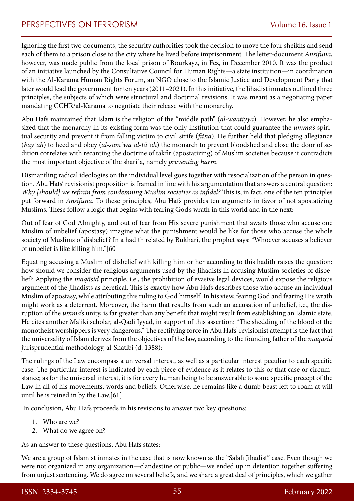Ignoring the first two documents, the security authorities took the decision to move the four sheikhs and send each of them to a prison close to the city where he lived before imprisonment. The letter-document *Ansifuna*, however, was made public from the local prison of Bourkayz, in Fez, in December 2010. It was the product of an initiative launched by the Consultative Council for Human Rights—a state institution—in coordination with the Al-Karama Human Rights Forum, an NGO close to the Islamic Justice and Development Party that later would lead the government for ten years (2011–2021). In this initiative, the Jihadist inmates outlined three principles, the subjects of which were structural and doctrinal revisions. It was meant as a negotiating paper mandating CCHR/al-Karama to negotiate their release with the monarchy.

Abu Hafs maintained that Islam is the religion of the "middle path" (*al-waatiyya*). However, he also emphasized that the monarchy in its existing form was the only institution that could guarantee the *umma's* spiritual security and prevent it from falling victim to civil strife (*fitna*). He further held that pledging allegiance (*bay*ʿ*ah*) to heed and obey (*al-samʿwa al-tāʿah*) the monarch to prevent bloodshed and close the door of sedition correlates with recanting the doctrine of takfir (apostatizing) of Muslim societies because it contradicts the most important objective of the shariʿa, namely *preventing harm*.

Dismantling radical ideologies on the individual level goes together with resocialization of the person in question. Abu Hafs' revisionist proposition is framed in line with his argumentation that answers a central question: *Why [should] we refrain from condemning Muslim societies as infidel?* This is, in fact, one of the ten principles put forward in *Ansifuna*. To these principles, Abu Hafs provides ten arguments in favor of not apostatizing Muslims. These follow a logic that begins with fearing God's wrath in this world and in the next:

Out of fear of God Almighty, and out of fear from His severe punishment that awaits those who accuse one Muslim of unbelief (apostasy) imagine what the punishment would be like for those who accuse the whole society of Muslims of disbelief? In a hadith related by Bukhari, the prophet says: "Whoever accuses a believer of unbelief is like killing him."[60]

Equating accusing a Muslim of disbelief with killing him or her according to this hadith raises the question: how should we consider the religious arguments used by the Jihadists in accusing Muslim societies of disbelief? Applying the *maqāsid* principle, i.e., the prohibition of evasive legal devices, would expose the religious argument of the Jihadists as heretical. This is exactly how Abu Hafs describes those who accuse an individual Muslim of apostasy, while attributing this ruling to God himself. In his view, fearing God and fearing His wrath might work as a deterrent. Moreover, the harm that results from such an accusation of unbelief, i.e., the disruption of the *umma's* unity, is far greater than any benefit that might result from establishing an Islamic state. He cites another Maliki scholar, al-Qādi Iyyād, in support of this assertion: "The shedding of the blood of the monotheist worshippers is very dangerous." The rectifying force in Abu Hafs' revisionist attempt is the fact that the universality of Islam derives from the objectives of the law, according to the founding father of the *maqāsid* jurisprudential methodology, al-Shatibi (d. 1388):

The rulings of the Law encompass a universal interest, as well as a particular interest peculiar to each specific case. The particular interest is indicated by each piece of evidence as it relates to this or that case or circumstance; as for the universal interest, it is for every human being to be answerable to some specific precept of the Law in all of his movements, words and beliefs. Otherwise, he remains like a dumb beast left to roam at will until he is reined in by the Law.[61]

In conclusion, Abu Hafs proceeds in his revisions to answer two key questions:

- 1. Who are we?
- 2. What do we agree on?

As an answer to these questions, Abu Hafs states:

We are a group of Islamist inmates in the case that is now known as the "Salafi Jihadist" case. Even though we were not organized in any organization—clandestine or public—we ended up in detention together suffering from unjust sentencing. We do agree on several beliefs, and we share a great deal of principles, which we gather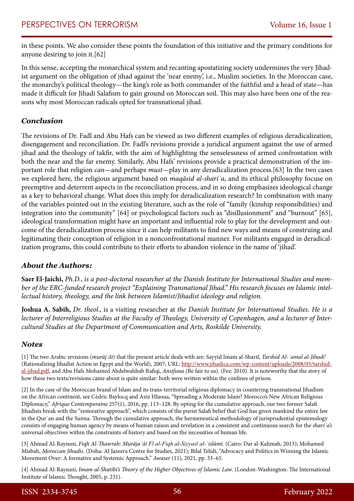in these points. We also consider these points the foundation of this initiative and the primary conditions for anyone desiring to join it.[62]

In this sense, accepting the monarchical system and recanting apostatizing society undermines the very Jihadist argument on the obligation of jihad against the 'near enemy', i.e., Muslim societies. In the Moroccan case, the monarchy's political theology—the king's role as both commander of the faithful and a head of state—has made it difficult for Jihadi Salafism to gain ground on Moroccan soil. This may also have been one of the reasons why most Moroccan radicals opted for transnational jihad.

## *Conclusion*

The revisions of Dr. Fadl and Abu Hafs can be viewed as two different examples of religious deradicalization, disengagement and reconciliation. Dr. Fadl's revisions provide a juridical argument against the use of armed jihad and the theology of takfir, with the aim of highlighting the senselessness of armed confrontation with both the near and the far enemy. Similarly, Abu Hafs' revisions provide a practical demonstration of the important role that religion *can*—and perhaps *must*—play in any deradicalization process.[63] In the two cases we explored here, the religious argument based on *maqāsid al-shariʿa,* and its ethical philosophy focuse on preemptive and deterrent aspects in the reconciliation process, and in so doing emphasizes ideological change as a key to behavioral change. What does this imply for deradicalization research? In combination with many of the variables pointed out in the existing literature, such as the role of "family (kinship responsibilities) and integration into the community" [64] or psychological factors such as "disillusionment" and "burnout" [65], ideological transformation might have an important and influential role to play for the development and outcome of the deradicalization process since it can help militants to find new ways and means of construing and legitimating their conception of religion in a nonconfrontational manner. For militants engaged in deradicalization programs, this could contribute to their efforts to abandon violence in the name of 'jihad'.

#### *About the Authors:*

**Saer El-Jaichi,** *Ph.D.*, *is a post-doctoral researcher at the Danish Institute for International Studies and member of the ERC-funded research project "Explaining Transnational Jihad." His research focuses on Islamic intellectual history, theology, and the link between Islamist/Jihadist ideology and religion.*

**Joshua A. Sabih,** *Dr. theol*., is a visiting researcher at *the Danish Institute for International Studies. He is a lecturer of Interreligious Studies at the Faculty of Theology, University of Copenhagen, and a lecturer of Intercultural Studies at the Department of Communication and Arts, Roskilde University.* 

#### *Notes*

[1] The two Arabic revisions (*murājʿāt*) that the present article deals with are: Sayyid Imam al-Sharif, *Tarshid Al-ʿamal al-Jihadi'*  (Rationalizing Jihadist Action in Egypt and the World), 2007; URL: [http://www.jihadica.com/wp-content/uploads/2008/05/tarshid](http://www.jihadica.com/wp-content/uploads/2008/05/tarshid-al-jihad.pdf)[al-jihad.pdf,](http://www.jihadica.com/wp-content/uploads/2008/05/tarshid-al-jihad.pdf) and Abu Hafs Mohamed Abdelwahhab Rafiqi, *Ansifuna* (Be fair to us). (Fez: 2010). It is noteworthy that the story of how these two texts/revisions came about is quite similar: both were written within the confines of prison.

[2] In the case of the Moroccan brand of Islam and its trans-territorial religious diplomacy in countering transnational Jihadism on the African continent, see Cédric Baylocq and Aziz Hlaoua, "Spreading a Moderate Islam? Morocco's New African Religious Diplomacy," *Afrique Contemporaine* 257(1), 2016, pp. 113–128. By opting for the cumulative approach, our two former Salafi Jihadists break with the "restorative approach", which consists of the purist Salafi belief that God has given mankind the entire law in the Qur'an and the Sunna. Through the cumulative approach, the hermeneutical methodology of jurisprudential epistemology consists of engaging human agency by means of human raison and revelation in a consistent and continuous search for the *shariʿa's* universal objectives within the constraints of history and based on the necessities of human life.

[3] Ahmad Al-Raysuni, *Fiqh Al-Thawrah: Murājaʿāt Fī al-Fiqh al-Siyyasī al-ʾislāmī*. (Cairo: Dar al-Kalimah, 2013); Mohamed Misbah, *Moroccan Jihadis*. (Doha: Al Jazeera Centre for Studies, 2021); Bilal Telidi, "Advocacy and Politics in Winning the Islamic Movement Over: A formative and Systemic Approach." *Awaser* (11), 2021, pp. 33–65.

[4] Ahmad Al-Raysuni, *Imam al-Shatibi's Theory of the Higher Objectives of Islamic Law*. (London-Washington: The International Institute of Islamic Thought, 2005, p. 231).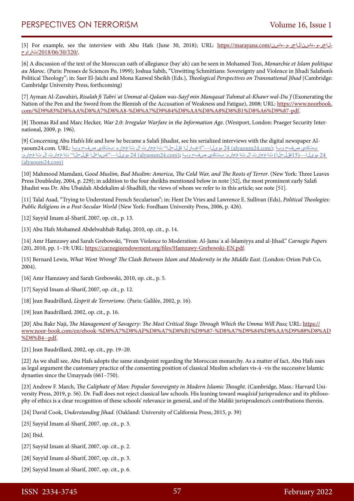[5] For example, see the interview with Abu Hafs (June 30, 2018); URL: https://marayana.com/[ءاسن-و-لاجر/ءاسن-و-لاجر-](https://marayana.com/نساء-و-رجال/نساء-و-رجال-حوارات/2018/06/30/320/)[تاراوح/2018/06/30/320](https://marayana.com/نساء-و-رجال/نساء-و-رجال-حوارات/2018/06/30/320/)/.

[6] A discussion of the text of the Moroccan oath of allegiance (bayʿah) can be seen in Mohamed Tozi, *Monarchie et Islam politique au Maroc*. (Paris: Presses de Sciences Po, 1999); Joshua Sabih, "Unwitting Schmittians: Sovereignty and Violence in Jihadi Salafism's Political Theology"; in: Saer El-Jaichi and Mona Kanwal Sheikh (Eds.), *Theological Perspectives on Transnational Jihad* (Cambridge: Cambridge University Press, forthcoming)

[7] Ayman Al-Zawahiri, *Risalah fi Tabriʾat Ummat al-Qalam was-Sayf min Manqasat Tuhmat al-Khawr wal-Duʿf* (Exonerating the Nation of the Pen and the Sword from the Blemish of the Accusation of Weakness and Fatigue), 2008; URL: [https://www.noorbook.](https://www.noorbook.com/%D9%83%D8%AA%D8%A7%D8%A8-%D8%A7%D9%84%D8%AA%D8%A8%D8%B1%D8%A6%D9%87-pdf) [com/%D9%83%D8%AA%D8%A7%D8%A8-%D8%A7%D9%84%D8%AA%D8%A8%D8%B1%D8%A6%D9%87-pdf.](https://www.noorbook.com/%D9%83%D8%AA%D8%A7%D8%A8-%D8%A7%D9%84%D8%AA%D8%A8%D8%B1%D8%A6%D9%87-pdf)

[8] Thomas Rid and Marc Hecker, *War 2.0: Irregular Warfare in the Information Age*. (Westport, London: Praeger Security International, 2009, p. 196).

[9] Concerning Abu Hafs's life and how he became a Salafi Jihadist, see his serialized interviews with the digital newspaper Alyaoum24.com. URL: وبا (alyaoum24.com) 24 مويل: تتجبارلا قول بل" تاعجارت ال تاعجارم :بتك بي صفح وبا عليه بتكين 24 موي لا—(15ةقلح لا) تاعجارت ال تاعجارم: بتكي صفح وبا ;(alyaoum24.com) 24 موي لا—"تسماخ لا ققل حلا" تاعجارت ال تاعجارم: [\(alyaoum24.com\)](https://alyaoum24.com/329809.html)

[10] Mahmood Mamdani, G*ood Muslim, Bad Muslim: America, The Cold War, and The Roots of Terror*. (New York: Three Leaves Press Doubleday, 2004, p. 229); in addition to the four sheikhs mentioned below in note [52], the most prominent early Salafi Jihadist was Dr. Abu Ubaidah Abdekalim al-Shadhili, the views of whom we refer to in this article; see note [51].

[11] Talal Asad, "Trying to Understand French Secularism"; in: Hent De Vries and Lawrence E. Sullivan (Eds), *Political Theologies: Public Religions in a Post-Secular World* (New York: Fordham University Press, 2006, p. 426).

[12] Sayyid Imam al-Sharif, 2007, op. cit., p. 13.

[13] Abu Hafs Mohamed Abdelwahhab Rafiqi, 2010, op. cit., p. 14.

[14] Amr Hamzawy and Sarah Grebowski, "From Violence to Moderation: Al-Jamaʿa al-Islamiyya and al-Jihad." *Carnegie Papers* (20), 2010, pp. 1–19; URL:<https://carnegieendowment.org/files/Hamzawy-Grebowski-EN.pdf>.

[15] Bernard Lewis, *What Went Wrong? The Clash Between Islam and Modernity in the Middle East*. (London: Orion Pub Co, 2004).

[16] Amr Hamzawy and Sarah Grebowski, 2010, op. cit., p. 5.

- [17] Sayyid Imam al-Sharif, 2007, op. cit., p. 12.
- [18] Jean Baudrillard, *L'esprit de Terrorisme*. (Paris: Galilée, 2002, p. 16).
- [19] Jean Baudrillard, 2002, op. cit., p. 16.

[20] Abu Bakr Naji, *The Management of Savagery: The Most Critical Stage Through Which the Umma Will Pass;* URL: [https://](https://www.noor-book.com/en/ebook-%D8%A7%D8%AF%D8%A7%D8%B1%D9%87-%D8%A7%D9%84%D8%AA%D9%88%D8%AD%D8%B4--pdf) [www.noor-book.com/en/ebook-%D8%A7%D8%AF%D8%A7%D8%B1%D9%87-%D8%A7%D9%84%D8%AA%D9%88%D8%AD](https://www.noor-book.com/en/ebook-%D8%A7%D8%AF%D8%A7%D8%B1%D9%87-%D8%A7%D9%84%D8%AA%D9%88%D8%AD%D8%B4--pdf) [%D8%B4--pdf.](https://www.noor-book.com/en/ebook-%D8%A7%D8%AF%D8%A7%D8%B1%D9%87-%D8%A7%D9%84%D8%AA%D9%88%D8%AD%D8%B4--pdf)

[21] Jean Baudrillard, 2002, op. cit., pp. 19–20.

[22] As we shall see, Abu Hafs adopts the same standpoint regarding the Moroccan monarchy. As a matter of fact, Abu Hafs uses as legal argument the customary practice of the consenting position of classical Muslim scholars vis-à -vis the successive Islamic dynasties since the Umayyads (661–750).

[23] Andrew F. March, *The Caliphate of Man: Popular Sovereignty in Modern Islamic Thought*. (Cambridge, Mass.: Harvard University Press, 2019, p. 56). Dr. Fadl does not reject classical law schools. His leaning toward *maqāsid* jurisprudence and its philosophy of ethics is a clear recognition of these schools' relevance in general, and of the Maliki jurisprudence's contributions therein.

[24] David Cook, *Understanding Jihad*. (Oakland: University of California Press, 2015, p. 39)

- [25] Sayyid Imam al-Sharif, 2007, op. cit., p. 3.
- [26] Ibid.
- [27] Sayyid Imam al-Sharif, 2007, op. cit., p. 2.
- [28] Sayyid Imam al-Sharif, 2007, op. cit., p. 3.
- [29] Sayyid Imam al-Sharif, 2007, op. cit., p. 6.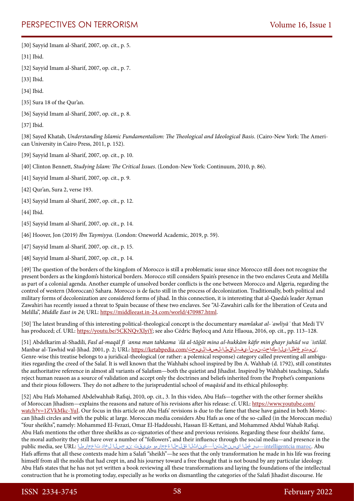# PERSPECTIVES ON TERRORISM Volume 16, Issue 1

[30] Sayyid Imam al-Sharif, 2007, op. cit., p. 5.

[31] Ibid.

- [32] Sayyid Imam al-Sharif, 2007, op. cit., p. 7.
- [33] Ibid.
- [34] Ibid.
- [35] Sura 18 of the Qur'an.
- [36] Sayyid Imam al-Sharif, 2007, op. cit., p. 8.

[37] Ibid.

[38] Sayed Khatab, *Understanding Islamic Fundamentalism: The Theological and Ideological Basis*. (Cairo-New York: The American University in Cairo Press, 2011, p. 152).

- [39] Sayyid Imam al-Sharif, 2007, op. cit., p. 10.
- [40] Clinton Bennett, *Studying Islam: The Critical Issues*. (London-New York: Continuum, 2010, p. 86).
- [41] Sayyid Imam al-Sharif, 2007, op. cit., p. 9.
- [42] Qur'an, Sura 2, verse 193.
- [43] Sayyid Imam al-Sharif, 2007, op. cit., p. 12.
- [44] Ibid.
- [45] Sayyid Imam al-Sharif, 2007, op. cit., p. 14.
- [46] Hoover, Jon (2019) *Ibn Taymiyya*. (London: Oneworld Academic, 2019, p. 59).
- [47] Sayyid Imam al-Sharif, 2007, op. cit., p. 15.
- [48] Sayyid Imam al-Sharif, 2007, op. cit., p. 14.

[49] The question of the borders of the kingdom of Morocco is still a problematic issue since Morocco still does not recognize the present borders as the kingdom's historical borders. Morocco still considers Spain's presence in the two enclaves Ceuta and Melilla as part of a colonial agenda. Another example of unsolved border conflicts is the one between Morocco and Algeria, regarding the control of western (Moroccan) Sahara. Morocco is de facto still in the process of decolonization. Traditionally, both political and military forms of decolonization are considered forms of jihad. In this connection, it is interesting that al-Qaeda's leader Ayman Zawahiri has recently issued a threat to Spain because of these two enclaves. See "Al-Zawahiri calls for the liberation of Ceuta and Melilla", *Middle East in 24*; URL: <https://middleeast.in-24.com/world/470987.html>.

[50] The latest branding of this interesting political-theological concept is the documentary *mamlakat al-ʾawliyāʾ* that Medi TV has produced; cf. URL: [https://youtu.be/5CKNQvXIyiY;](https://youtu.be/5CKNQvXIyiY) see also Cédric Baylocq and Aziz Hlaoua, 2016, op. cit., pp. 113-128.

[51] Abdelkarim al-Shadili, *Fasl al-maqāl fī ʾanna man tahkama ʾilā al-tāġūt mina al-hukkām kāfir min ghayr juhūd wa ʾistilāl*. /نم-توغاطلا-ىل!-مك ح-ناس-ن أ-يف-ل قمل المصلا للسن اليمحت /manbar al-Tawhid wal-Jihad. 2001, p. 2; URL: https://ketabpedia.com Genre-wise this treatise belongs to a juridical-theological (or rather: a polemical response) category called preventing all ambiguities regarding the creed of the Salaf. It is well known that the Wahhabi school inspired by Ibn A. Wahhab (d. 1792), still constitutes the authoritative reference in almost all variants of Salafism—both the quietist and Jihadist. Inspired by Wahhabi teachings, Salafis reject human reason as a source of validation and accept only the doctrines and beliefs inherited from the Prophet's companions and their pious followers. They do not adhere to the jurisprudential school of *maqāsid* and its ethical philosophy.

[52] Abu Hafs Mohamed Abdelwahhab Rafiqi, 2010, op. cit., 3. In this video, Abu Hafs—together with the other former sheikhs of Moroccan Jihadism—explains the reasons and nature of his revisions after his release: cf. URL: [https://www.youtube.com/](https://www.youtube.com/watch?v=1ZVkMkc-YuI) [watch?v=1ZVkMkc-YuI](https://www.youtube.com/watch?v=1ZVkMkc-YuI). Our focus in this article on Abu Hafs' revisions is due to the fame that these have gained in both Moroccan Jihadi circles and with the public at large. Moroccan media considers Abu Hafs as one of the so-called (in the Moroccan media) "four sheikhs", namely: Mohammed El-Fezazi, Omar El-Haddoushi, Hassan El-Kettani, and Mohammed Abdul Wahab Rafiqi. Abu Hafs mentions the other three sheikhs as co-signatories of these and previous revisions. Regarding these four sheikhs' fame, the moral authority they still have over a number of "followers", and their influence through the social media—and presence in the ntelligentcia maroc. Abu ـبرغملا ايسنجلتنأ—قيناثلا ققلحل ا ةعجارمو مي يقت :نوجسلا لخاد تاعجارملا :Ure و :upublic media, see URL Hafs affirms that all these contexts made him a Salafi "sheikh"—he sees that the only transformation he made in his life was freeing himself from all the molds that had crept in, and his journey toward a free thought that is not bound by any particular ideology. Abu Hafs states that he has not yet written a book reviewing all these transformations and laying the foundations of the intellectual construction that he is promoting today, especially as he works on dismantling the categories of the Salafi Jihadist discourse. He